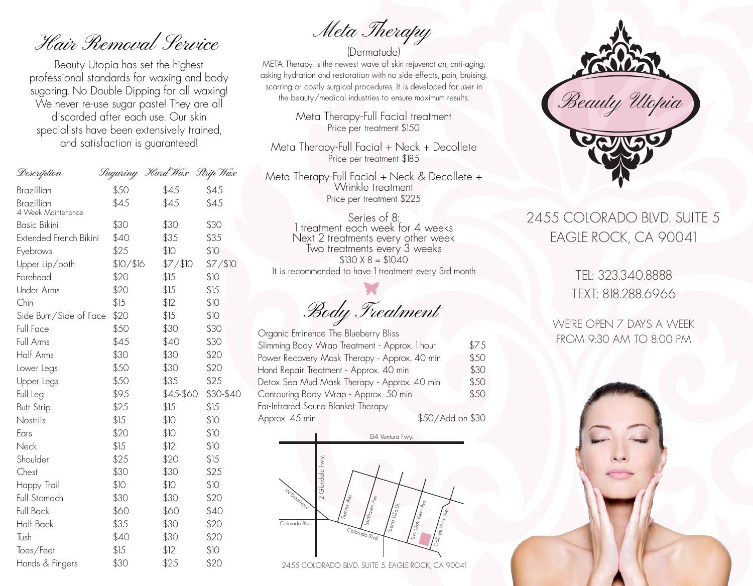Hair Removal Service

Beauty Utopia has set the highest professional standards for waxing and body sugaring. No Double Dipping for all waxing! We never re-use sugar paste! They are all discarded after each use. Our skin specialists have been extensively trained, and satisfaction is guaranteed!

| Description            |           | Sugaring 'Hard Wax Strip Wax |           |
|------------------------|-----------|------------------------------|-----------|
| Brazillian             | \$50      | \$45                         | \$45      |
| Brazillian             | \$45      | \$45                         | \$45      |
| 4 Week Maintenance     |           |                              |           |
| <b>Basic Bikini</b>    | \$30      | \$30                         | \$30      |
| Extended French Bikini | \$40      | \$35                         | \$35      |
| Eyebrows               | \$25      | \$10                         | \$10      |
| Upper Lip/both         | \$10/\$16 | \$7/\$10                     | \$7/\$10  |
| Forehead               | \$20      | \$15                         | \$10      |
| <b>Under Arms</b>      | \$20      | \$15                         | \$15      |
| Chin                   | \$15      | \$12                         | \$10      |
| Side Burn/Side of Face | \$20      | \$15                         | \$10      |
| Full Face              | \$50      | \$30                         | \$30      |
| Full Arms              | \$45      | \$40                         | \$30      |
| Half Arms              | \$30      | \$30                         | \$20      |
| Lower Legs             | \$50      | \$30                         | \$20      |
| Upper Legs             | \$50      | \$35                         | \$25      |
| Full Leg               | \$95      | \$45-\$60                    | \$30-\$40 |
| <b>Butt Strip</b>      | \$25      | \$15                         | \$15      |
| Nostrils               | \$15      | \$10                         | \$10      |
| Ears                   | \$20      | \$10                         | \$10      |
| Neck                   | \$15      | \$12                         | \$10      |
| Shoulder               | \$25      | \$20                         | \$15      |
| Chest                  | \$30      | \$30                         | \$25      |
| Happy Trail            | \$10      | \$10                         | \$10      |
| Full Stomach           | \$30      | \$30                         | \$20      |
| Full Back              | \$60      | \$60                         | \$40      |
| Half Back              | \$35      | \$30                         | \$20      |
| Tush                   | \$40      | \$30                         | \$20      |
| Toes/Feet              | \$15      | \$12                         | \$10      |
| Hands & Fingers        | \$30      | \$25                         | \$20      |

(Dermatude) Meta Therapy

META Therapy is the newest wave of skin rejuvenation, anti-aging, asking hydration and restoration with no side effects, pain, bruising, scarring or costly surgical procedures. It is developed for user in the beauty/medical industries to ensure maximum results.

> Meta Therapy-Full Facial treatment Price per treatment \$150

Meta Therapy-Full Facial + Neck + Decollete Price per treatment \$185

Meta Therapy-Full Facial + Neck & Decollete + Wrinkle treatment Price per treatment \$225

Series of 8: 1 treatment each week for 4 weeks Next 2 treatments every other week Two treatments every 3 weeks  $$130 X 8 = $1040$ It is recommended to have 1 treatment every 3rd month

Body Treatment

Organic Eminence The Blueberry Bliss Slimming Body Wrap Treatment - Approx. 1 hour \$75 Power Recovery Mask Therapy - Approx. 40 min \$50 Hand Repair Treatment - Approx. 40 min \$30 Detox Sea Mud Mask Therapy - Approx. 40 min \$50 Contouring Body Wrap - Approx. 50 min \$50 Far-Infrared Sauna Blanket Therapy Approx. 45 min \$50/Add on \$30



2455 COLORADO BLVD. SUITE 5. EAGLE ROCK, CA 90041



## 2455 COLORADO BLVD. SUITE 5 EAGLE ROCK, CA 90041

TEL: 323.340.8888 TEXT: 818.288.6966

WE'RE OPEN 7 DAYS A WEEK FROM 9:30 AM TO 8:00 PM